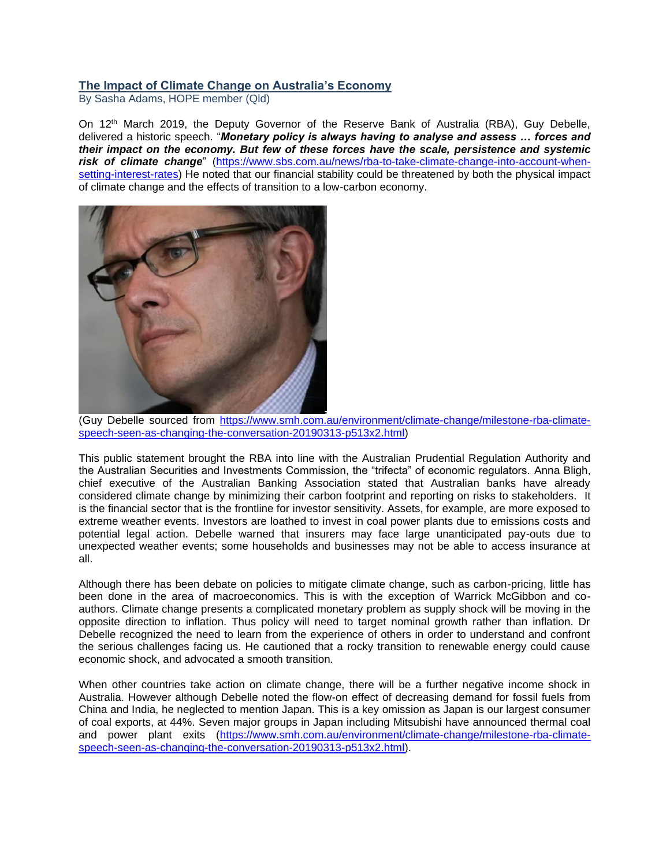## **The Impact of Climate Change on Australia's Economy**

By Sasha Adams, HOPE member (Qld)

On 12<sup>th</sup> March 2019, the Deputy Governor of the Reserve Bank of Australia (RBA), Guy Debelle, delivered a historic speech. "*Monetary policy is always having to analyse and assess … forces and their impact on the economy. But few of these forces have the scale, persistence and systemic risk of climate change*" [\(https://www.sbs.com.au/news/rba-to-take-climate-change-into-account-when](https://www.sbs.com.au/news/rba-to-take-climate-change-into-account-when-setting-interest-rates)[setting-interest-rates\)](https://www.sbs.com.au/news/rba-to-take-climate-change-into-account-when-setting-interest-rates) He noted that our financial stability could be threatened by both the physical impact of climate change and the effects of transition to a low-carbon economy.



(Guy Debelle sourced from [https://www.smh.com.au/environment/climate-change/milestone-rba-climate](https://www.smh.com.au/environment/climate-change/milestone-rba-climate-speech-seen-as-changing-the-conversation-20190313-p513x2.html)[speech-seen-as-changing-the-conversation-20190313-p513x2.html\)](https://www.smh.com.au/environment/climate-change/milestone-rba-climate-speech-seen-as-changing-the-conversation-20190313-p513x2.html)

This public statement brought the RBA into line with the Australian Prudential Regulation Authority and the Australian Securities and Investments Commission, the "trifecta" of economic regulators. Anna Bligh, chief executive of the Australian Banking Association stated that Australian banks have already considered climate change by minimizing their carbon footprint and reporting on risks to stakeholders. It is the financial sector that is the frontline for investor sensitivity. Assets, for example, are more exposed to extreme weather events. Investors are loathed to invest in coal power plants due to emissions costs and potential legal action. Debelle warned that insurers may face large unanticipated pay-outs due to unexpected weather events; some households and businesses may not be able to access insurance at all.

Although there has been debate on policies to mitigate climate change, such as carbon-pricing, little has been done in the area of macroeconomics. This is with the exception of Warrick McGibbon and coauthors. Climate change presents a complicated monetary problem as supply shock will be moving in the opposite direction to inflation. Thus policy will need to target nominal growth rather than inflation. Dr Debelle recognized the need to learn from the experience of others in order to understand and confront the serious challenges facing us. He cautioned that a rocky transition to renewable energy could cause economic shock, and advocated a smooth transition.

When other countries take action on climate change, there will be a further negative income shock in Australia. However although Debelle noted the flow-on effect of decreasing demand for fossil fuels from China and India, he neglected to mention Japan. This is a key omission as Japan is our largest consumer of coal exports, at 44%. Seven major groups in Japan including Mitsubishi have announced thermal coal and power plant exits [\(https://www.smh.com.au/environment/climate-change/milestone-rba-climate](https://www.smh.com.au/environment/climate-change/milestone-rba-climate-speech-seen-as-changing-the-conversation-20190313-p513x2.html)[speech-seen-as-changing-the-conversation-20190313-p513x2.html\)](https://www.smh.com.au/environment/climate-change/milestone-rba-climate-speech-seen-as-changing-the-conversation-20190313-p513x2.html).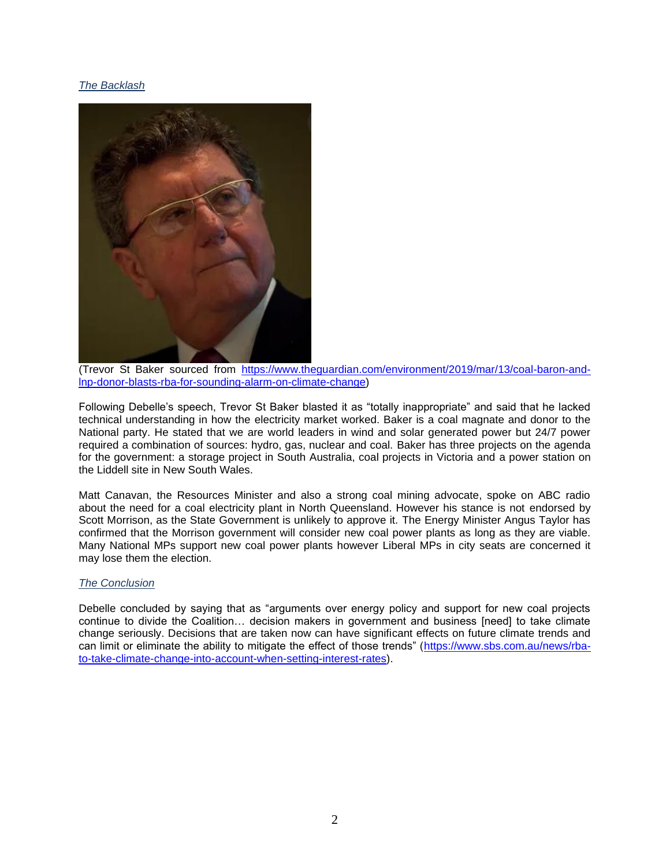## *The Backlash*



(Trevor St Baker sourced from [https://www.theguardian.com/environment/2019/mar/13/coal-baron-and](https://www.theguardian.com/environment/2019/mar/13/coal-baron-and-lnp-donor-blasts-rba-for-sounding-alarm-on-climate-change)[lnp-donor-blasts-rba-for-sounding-alarm-on-climate-change\)](https://www.theguardian.com/environment/2019/mar/13/coal-baron-and-lnp-donor-blasts-rba-for-sounding-alarm-on-climate-change)

Following Debelle's speech, Trevor St Baker blasted it as "totally inappropriate" and said that he lacked technical understanding in how the electricity market worked. Baker is a coal magnate and donor to the National party. He stated that we are world leaders in wind and solar generated power but 24/7 power required a combination of sources: hydro, gas, nuclear and coal. Baker has three projects on the agenda for the government: a storage project in South Australia, coal projects in Victoria and a power station on the Liddell site in New South Wales.

Matt Canavan, the Resources Minister and also a strong coal mining advocate, spoke on ABC radio about the need for a coal electricity plant in North Queensland. However his stance is not endorsed by Scott Morrison, as the State Government is unlikely to approve it. The Energy Minister Angus Taylor has confirmed that the Morrison government will consider new coal power plants as long as they are viable. Many National MPs support new coal power plants however Liberal MPs in city seats are concerned it may lose them the election.

## *The Conclusion*

Debelle concluded by saying that as "arguments over energy policy and support for new coal projects continue to divide the Coalition… decision makers in government and business [need] to take climate change seriously. Decisions that are taken now can have significant effects on future climate trends and can limit or eliminate the ability to mitigate the effect of those trends" [\(https://www.sbs.com.au/news/rba](https://www.sbs.com.au/news/rba-to-take-climate-change-into-account-when-setting-interest-rates)[to-take-climate-change-into-account-when-setting-interest-rates\)](https://www.sbs.com.au/news/rba-to-take-climate-change-into-account-when-setting-interest-rates).